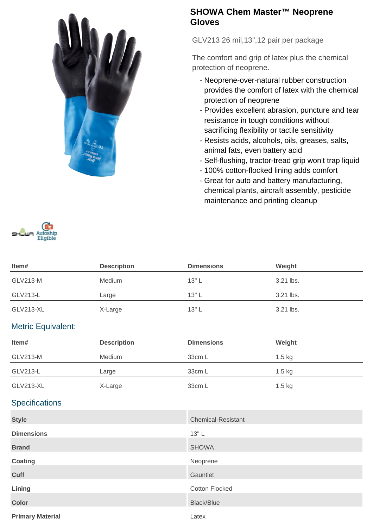

## **SHOWA Chem Master™ Neoprene Gloves**

GLV213 26 mil,13",12 pair per package

The comfort and grip of latex plus the chemical protection of neoprene.

- Neoprene-over-natural rubber construction provides the comfort of latex with the chemical protection of neoprene
- Provides excellent abrasion, puncture and tear resistance in tough conditions without sacrificing flexibility or tactile sensitivity
- Resists acids, alcohols, oils, greases, salts, animal fats, even battery acid
- Self-flushing, tractor-tread grip won't trap liquid
- 100% cotton-flocked lining adds comfort
- Great for auto and battery manufacturing, chemical plants, aircraft assembly, pesticide maintenance and printing cleanup



| Item#            | <b>Description</b> | <b>Dimensions</b> | Weight    |
|------------------|--------------------|-------------------|-----------|
| <b>GLV213-M</b>  | Medium             | $13"$ L           | 3.21 lbs. |
| GLV213-L         | Large              | $13"$ L           | 3.21 lbs. |
| <b>GLV213-XL</b> | X-Large            | $13"$ L           | 3.21 lbs. |

## Metric Equivalent:

| ltem#           | <b>Description</b> | <b>Dimensions</b> | Weight   |  |
|-----------------|--------------------|-------------------|----------|--|
| <b>GLV213-M</b> | Medium             | 33cm L            | $1.5$ kg |  |
| GLV213-L        | Large              | 33cm L            | $1.5$ kg |  |
| GLV213-XL       | X-Large            | 33cm L            | $1.5$ kg |  |

## **Specifications**

| <b>Style</b>            | <b>Chemical-Resistant</b> |
|-------------------------|---------------------------|
| <b>Dimensions</b>       | $13"$ L                   |
| <b>Brand</b>            | <b>SHOWA</b>              |
| Coating                 | Neoprene                  |
| <b>Cuff</b>             | Gauntlet                  |
| Lining                  | <b>Cotton Flocked</b>     |
| <b>Color</b>            | <b>Black/Blue</b>         |
| <b>Primary Material</b> | Latex                     |